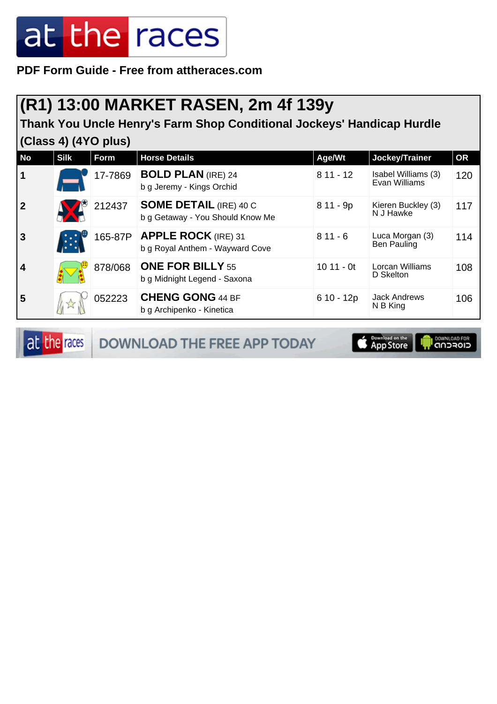**PDF Form Guide - Free from attheraces.com**

#### **(R1) 13:00 MARKET RASEN, 2m 4f 139y**

**Thank You Uncle Henry's Farm Shop Conditional Jockeys' Handicap Hurdle (Class 4) (4YO plus)**

| <b>No</b>               | <b>Silk</b> | Form    | <b>Horse Details</b>                                              | Age/Wt      | Jockey/Trainer                       | <b>OR</b> |
|-------------------------|-------------|---------|-------------------------------------------------------------------|-------------|--------------------------------------|-----------|
| $\vert$ 1               |             | 17-7869 | <b>BOLD PLAN (IRE) 24</b><br>b g Jeremy - Kings Orchid            | $811 - 12$  | Isabel Williams (3)<br>Evan Williams | 120       |
| $\overline{\mathbf{2}}$ |             | 212437  | <b>SOME DETAIL (IRE) 40 C</b><br>b g Getaway - You Should Know Me | $811 - 9p$  | Kieren Buckley (3)<br>N J Hawke      | 117       |
| $\overline{3}$          |             | 165-87P | <b>APPLE ROCK (IRE) 31</b><br>b g Royal Anthem - Wayward Cove     | $811 - 6$   | Luca Morgan (3)<br>Ben Pauling       | 114       |
| 4                       |             | 878/068 | <b>ONE FOR BILLY 55</b><br>b g Midnight Legend - Saxona           | $1011 - 0t$ | Lorcan Williams<br>D Skelton         | 108       |
| 5                       |             | 052223  | <b>CHENG GONG 44 BF</b><br>b g Archipenko - Kinetica              | $610 - 12p$ | <b>Jack Andrews</b><br>N B King      | 106       |

at the races DOWNLOAD THE FREE APP TODAY

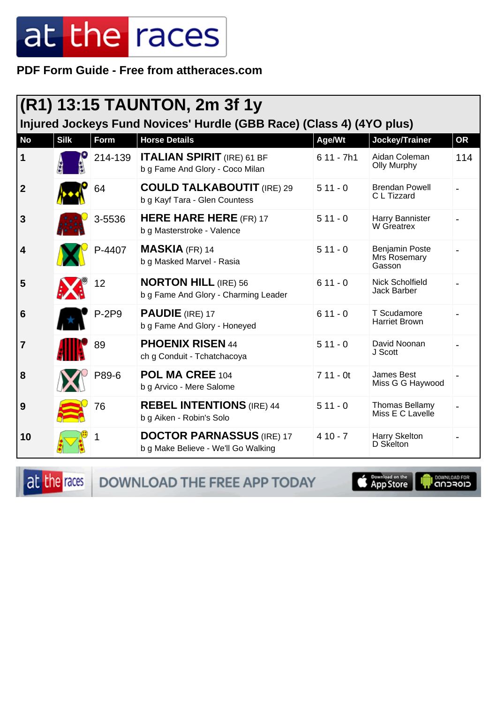PDF Form Guide - Free from attheraces.com

|                                                                      |             |         | $(R1)$ 13:15 TAUNTON, 2m 3f 1y                                          |             |                                                 |           |  |  |
|----------------------------------------------------------------------|-------------|---------|-------------------------------------------------------------------------|-------------|-------------------------------------------------|-----------|--|--|
| Injured Jockeys Fund Novices' Hurdle (GBB Race) (Class 4) (4YO plus) |             |         |                                                                         |             |                                                 |           |  |  |
| <b>No</b>                                                            | <b>Silk</b> | Form    | <b>Horse Details</b>                                                    | Age/Wt      | Jockey/Trainer                                  | <b>OR</b> |  |  |
| 1                                                                    |             | 214-139 | <b>ITALIAN SPIRIT (IRE) 61 BF</b><br>b g Fame And Glory - Coco Milan    | $611 - 7h1$ | Aidan Coleman<br><b>Olly Murphy</b>             | 114       |  |  |
| $\boldsymbol{2}$                                                     |             | 64      | <b>COULD TALKABOUTIT (IRE) 29</b><br>b g Kayf Tara - Glen Countess      | $511 - 0$   | <b>Brendan Powell</b><br>C L Tizzard            |           |  |  |
| 3                                                                    |             | 3-5536  | <b>HERE HARE HERE (FR) 17</b><br>b g Masterstroke - Valence             | $511 - 0$   | Harry Bannister<br>W Greatrex                   |           |  |  |
| 4                                                                    |             | P-4407  | <b>MASKIA (FR) 14</b><br>b g Masked Marvel - Rasia                      | $511 - 0$   | <b>Benjamin Poste</b><br>Mrs Rosemary<br>Gasson |           |  |  |
| 5                                                                    |             | 12      | <b>NORTON HILL (IRE) 56</b><br>b g Fame And Glory - Charming Leader     | $611 - 0$   | <b>Nick Scholfield</b><br>Jack Barber           |           |  |  |
| 6                                                                    |             | $P-2P9$ | <b>PAUDIE</b> (IRE) 17<br>b g Fame And Glory - Honeyed                  | $611 - 0$   | T Scudamore<br><b>Harriet Brown</b>             |           |  |  |
| 7                                                                    |             | 89      | <b>PHOENIX RISEN 44</b><br>ch g Conduit - Tchatchacoya                  | $511 - 0$   | David Noonan<br>J Scott                         |           |  |  |
| 8                                                                    |             | P89-6   | POL MA CREE 104<br>b g Arvico - Mere Salome                             | $711 - 0t$  | James Best<br>Miss G G Haywood                  |           |  |  |
| 9                                                                    |             | 76      | <b>REBEL INTENTIONS</b> (IRE) 44<br>b g Aiken - Robin's Solo            | $511 - 0$   | <b>Thomas Bellamy</b><br>Miss E C Lavelle       |           |  |  |
| 10                                                                   |             |         | <b>DOCTOR PARNASSUS (IRE) 17</b><br>b g Make Believe - We'll Go Walking | $410 - 7$   | Harry Skelton<br>D Skelton                      |           |  |  |

at the races DOWNLOAD THE FREE APP TODAY

**E** Download on the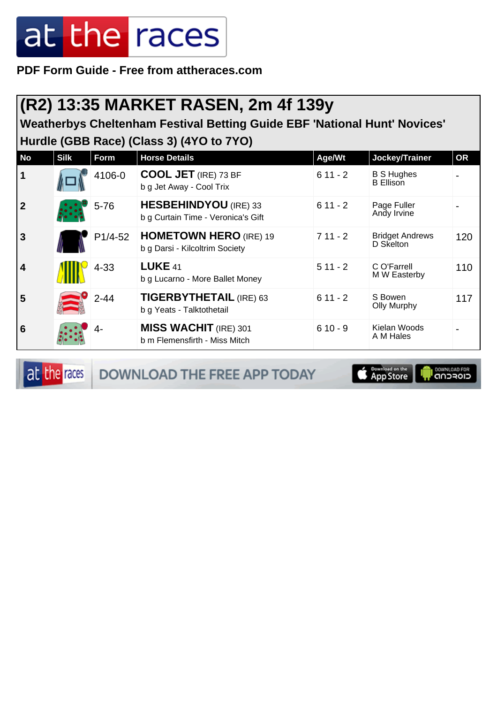**PDF Form Guide - Free from attheraces.com**

#### **(R2) 13:35 MARKET RASEN, 2m 4f 139y**

**Weatherbys Cheltenham Festival Betting Guide EBF 'National Hunt' Novices' Hurdle (GBB Race) (Class 3) (4YO to 7YO)**

| <b>No</b>               | <b>Silk</b> | Form     | <b>Horse Details</b>                                               | Age/Wt    | Jockey/Trainer                        | <b>OR</b> |
|-------------------------|-------------|----------|--------------------------------------------------------------------|-----------|---------------------------------------|-----------|
| $\mathbf 1$             |             | 4106-0   | <b>COOL JET</b> (IRE) 73 BF<br>b g Jet Away - Cool Trix            | $611 - 2$ | <b>B S Hughes</b><br><b>B</b> Ellison |           |
| $\overline{2}$          |             | $5 - 76$ | <b>HESBEHINDYOU</b> (IRE) 33<br>b g Curtain Time - Veronica's Gift | $611 - 2$ | Page Fuller<br>Andy Irvine            |           |
| $\overline{3}$          |             | P1/4-52  | <b>HOMETOWN HERO (IRE) 19</b><br>b g Darsi - Kilcoltrim Society    | $711 - 2$ | <b>Bridget Andrews</b><br>D Skelton   | 120       |
| $\overline{\mathbf{4}}$ |             | $4 - 33$ | <b>LUKE 41</b><br>b g Lucarno - More Ballet Money                  | $511 - 2$ | C O'Farrell<br>M W Easterby           | 110       |
| 5                       |             | $2 - 44$ | <b>TIGERBYTHETAIL (IRE) 63</b><br>b g Yeats - Talktothetail        | $611 - 2$ | S Bowen<br>Olly Murphy                | 117       |
| 6                       |             | 4-       | <b>MISS WACHIT</b> (IRE) 301<br>b m Flemensfirth - Miss Mitch      | $610 - 9$ | Kielan Woods<br>A M Hales             |           |

at the races DOWNLOAD THE FREE APP TODAY

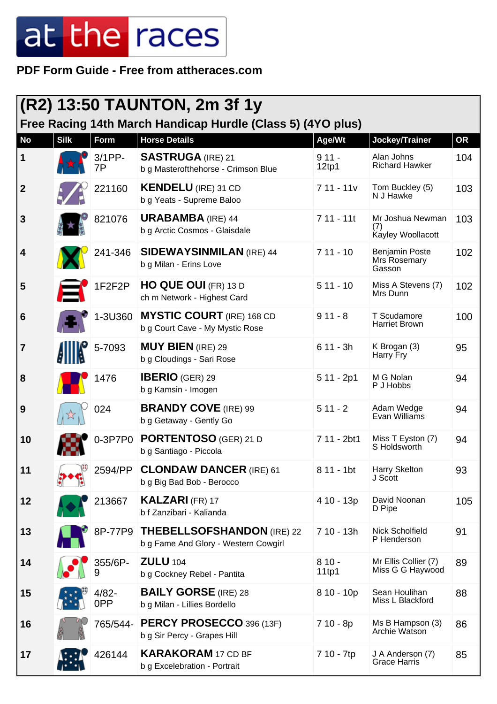**PDF Form Guide - Free from attheraces.com**

| $ (R2)$ 13:50 TAUNTON, 2m 3f 1y |             |                 |                                                                           |                  |                                                 |           |  |
|---------------------------------|-------------|-----------------|---------------------------------------------------------------------------|------------------|-------------------------------------------------|-----------|--|
|                                 |             |                 | Free Racing 14th March Handicap Hurdle (Class 5) (4YO plus)               |                  |                                                 |           |  |
| <b>No</b>                       | <b>Silk</b> | Form            | <b>Horse Details</b>                                                      | Age/Wt           | Jockey/Trainer                                  | <b>OR</b> |  |
| 1                               |             | $3/1$ PP-<br>7Р | <b>SASTRUGA</b> (IRE) 21<br>b g Masterofthehorse - Crimson Blue           | $911 -$<br>12tp1 | Alan Johns<br><b>Richard Hawker</b>             | 104       |  |
| $\mathbf{2}$                    |             | 221160          | <b>KENDELU</b> (IRE) 31 CD<br>b g Yeats - Supreme Baloo                   | $711 - 11v$      | Tom Buckley (5)<br>N J Hawke                    | 103       |  |
| 3                               |             | 821076          | <b>URABAMBA</b> (IRE) 44<br>b g Arctic Cosmos - Glaisdale                 | $711 - 11t$      | Mr Joshua Newman<br>(7)<br>Kayley Woollacott    | 103       |  |
| 4                               |             | 241-346         | <b>SIDEWAYSINMILAN (IRE) 44</b><br>b g Milan - Erins Love                 | $711 - 10$       | <b>Benjamin Poste</b><br>Mrs Rosemary<br>Gasson | 102       |  |
| 5                               |             | 1F2F2P          | <b>HO QUE OUI (FR) 13 D</b><br>ch m Network - Highest Card                | $511 - 10$       | Miss A Stevens (7)<br>Mrs Dunn                  | 102       |  |
| 6                               |             | 1-3U360         | <b>MYSTIC COURT</b> (IRE) 168 CD<br>b g Court Cave - My Mystic Rose       | $911 - 8$        | T Scudamore<br><b>Harriet Brown</b>             | 100       |  |
| 7                               |             | 5-7093          | <b>MUY BIEN (IRE) 29</b><br>b g Cloudings - Sari Rose                     | $611 - 3h$       | K Brogan (3)<br>Harry Fry                       | 95        |  |
| 8                               |             | 1476            | <b>IBERIO</b> (GER) 29<br>b g Kamsin - Imogen                             | $511 - 2p1$      | M G Nolan<br>P J Hobbs                          | 94        |  |
| 9                               |             | 024             | <b>BRANDY COVE (IRE) 99</b><br>b g Getaway - Gently Go                    | $511 - 2$        | Adam Wedge<br>Evan Williams                     | 94        |  |
| 10                              |             | 0-3P7P0         | <b>PORTENTOSO</b> (GER) 21 D<br>b g Santiago - Piccola                    | 7 11 - 2bt1      | Miss T Eyston (7)<br>S Holdsworth               | 94        |  |
| 11                              |             | 2594/PP         | <b>CLONDAW DANCER (IRE) 61</b><br>b g Big Bad Bob - Berocco               | 8 11 - 1bt       | Harry Skelton<br>J Scott                        | 93        |  |
| 12                              |             | 213667          | <b>KALZARI (FR) 17</b><br>b f Zanzibari - Kalianda                        | 4 10 - 13p       | David Noonan<br>D Pipe                          | 105       |  |
| 13                              |             | 8P-77P9         | <b>THEBELLSOFSHANDON</b> (IRE) 22<br>b g Fame And Glory - Western Cowgirl | 7 10 - 13h       | Nick Scholfield<br>P Henderson                  | 91        |  |
| 14                              |             | 355/6P-<br>9    | <b>ZULU 104</b><br>b g Cockney Rebel - Pantita                            | $810 -$<br>11tp1 | Mr Ellis Collier (7)<br>Miss G G Haywood        | 89        |  |
| 15                              |             | $4/82 -$<br>0PP | <b>BAILY GORSE</b> (IRE) 28<br>b g Milan - Lillies Bordello               | $810 - 10p$      | Sean Houlihan<br>Miss L Blackford               | 88        |  |
| 16                              |             | 765/544-        | PERCY PROSECCO 396 (13F)<br>b g Sir Percy - Grapes Hill                   | 7 10 - 8p        | Ms B Hampson (3)<br>Archie Watson               | 86        |  |
| 17                              |             | 426144          | <b>KARAKORAM 17 CD BF</b><br>b g Excelebration - Portrait                 | 7 10 - 7tp       | J A Anderson (7)<br><b>Grace Harris</b>         | 85        |  |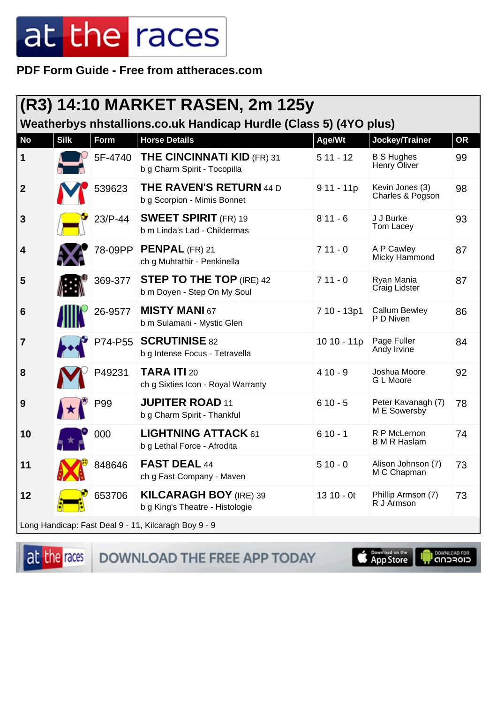PDF Form Guide - Free from attheraces.com

|                  | (R3) 14:10 MARKET RASEN, 2m 125y<br>Weatherbys nhstallions.co.uk Handicap Hurdle (Class 5) (4YO plus) |         |                                                                   |             |                                     |           |  |  |
|------------------|-------------------------------------------------------------------------------------------------------|---------|-------------------------------------------------------------------|-------------|-------------------------------------|-----------|--|--|
| <b>No</b>        | <b>Silk</b>                                                                                           | Form    | <b>Horse Details</b>                                              | Age/Wt      | Jockey/Trainer                      | <b>OR</b> |  |  |
| $\mathbf 1$      |                                                                                                       | 5F-4740 | <b>THE CINCINNATI KID (FR) 31</b><br>b g Charm Spirit - Tocopilla | $511 - 12$  | <b>B S Hughes</b><br>Henry Oliver   | 99        |  |  |
| $\overline{2}$   |                                                                                                       | 539623  | <b>THE RAVEN'S RETURN 44 D</b><br>b g Scorpion - Mimis Bonnet     | $911 - 11p$ | Kevin Jones (3)<br>Charles & Pogson | 98        |  |  |
| $\mathbf{3}$     |                                                                                                       | 23/P-44 | <b>SWEET SPIRIT</b> (FR) 19<br>b m Linda's Lad - Childermas       | $811 - 6$   | J J Burke<br>Tom Lacey              | 93        |  |  |
| $\boldsymbol{4}$ |                                                                                                       | 78-09PP | <b>PENPAL</b> (FR) 21<br>ch g Muhtathir - Penkinella              | $711 - 0$   | A P Cawley<br>Micky Hammond         | 87        |  |  |
| 5                |                                                                                                       | 369-377 | <b>STEP TO THE TOP (IRE) 42</b><br>b m Doyen - Step On My Soul    | $711 - 0$   | Ryan Mania<br>Craig Lidster         | 87        |  |  |
| $6\phantom{1}6$  |                                                                                                       | 26-9577 | <b>MISTY MANI 67</b><br>b m Sulamani - Mystic Glen                | 7 10 - 13p1 | <b>Callum Bewley</b><br>P D Niven   | 86        |  |  |
| $\overline{7}$   |                                                                                                       | P74-P55 | <b>SCRUTINISE 82</b><br>b g Intense Focus - Tetravella            | 10 10 - 11p | Page Fuller<br>Andy Irvine          | 84        |  |  |
| 8                |                                                                                                       | P49231  | <b>TARA ITI 20</b><br>ch g Sixties Icon - Royal Warranty          | $410 - 9$   | Joshua Moore<br>G L Moore           | 92        |  |  |
| 9                |                                                                                                       | P99     | <b>JUPITER ROAD 11</b><br>b g Charm Spirit - Thankful             | $610 - 5$   | Peter Kavanagh (7)<br>M E Sowersby  | 78        |  |  |
| 10               |                                                                                                       | 000     | <b>LIGHTNING ATTACK 61</b><br>b g Lethal Force - Afrodita         | $610 - 1$   | R P McLernon<br><b>B</b> M R Haslam | 74        |  |  |
| 11               |                                                                                                       | 848646  | <b>FAST DEAL 44</b><br>ch g Fast Company - Maven                  | $510 - 0$   | Alison Johnson (7)<br>M C Chapman   | 73        |  |  |
| 12               |                                                                                                       | 653706  | <b>KILCARAGH BOY (IRE) 39</b><br>b g King's Theatre - Histologie  | $1310 - 0t$ | Phillip Armson (7)<br>R J Armson    | 73        |  |  |
|                  |                                                                                                       |         | Long Handicap: Fast Deal 9 - 11, Kilcaragh Boy 9 - 9              |             |                                     |           |  |  |

at the races

DOWNLOAD THE FREE APP TODAY

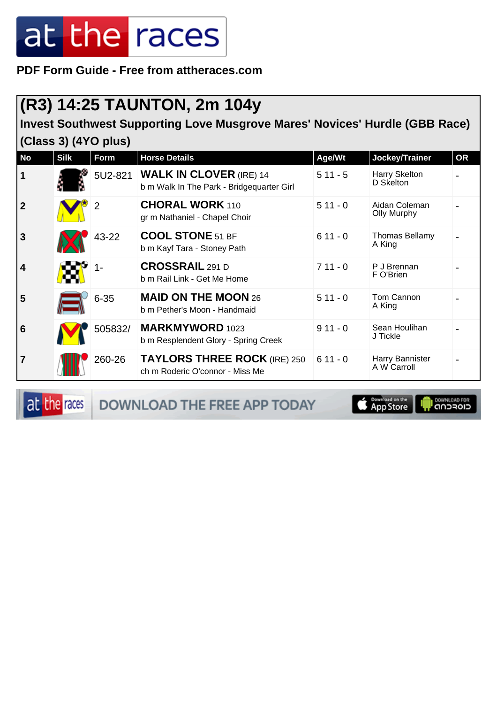**PDF Form Guide - Free from attheraces.com**

### **(R3) 14:25 TAUNTON, 2m 104y**

**Invest Southwest Supporting Love Musgrove Mares' Novices' Hurdle (GBB Race) (Class 3) (4YO plus)**

| <b>No</b>               | <b>Silk</b> | Form           | <b>Horse Details</b>                                                        | Age/Wt    | Jockey/Trainer                      | <b>OR</b> |
|-------------------------|-------------|----------------|-----------------------------------------------------------------------------|-----------|-------------------------------------|-----------|
| $\overline{1}$          |             | 5U2-821        | <b>WALK IN CLOVER (IRE) 14</b><br>b m Walk In The Park - Bridgequarter Girl | $511 - 5$ | Harry Skelton<br>D Skelton          |           |
| $\overline{2}$          |             | $\overline{2}$ | <b>CHORAL WORK 110</b><br>gr m Nathaniel - Chapel Choir                     | $511 - 0$ | Aidan Coleman<br><b>Olly Murphy</b> |           |
| $\overline{3}$          |             | 43-22          | <b>COOL STONE 51 BF</b><br>b m Kayf Tara - Stoney Path                      | $611 - 0$ | <b>Thomas Bellamy</b><br>A King     |           |
| $\overline{\mathbf{4}}$ |             | 1-             | <b>CROSSRAIL</b> 291 D<br>b m Rail Link - Get Me Home                       | $711 - 0$ | P J Brennan<br>F O'Brien            |           |
| 5                       |             | $6 - 35$       | <b>MAID ON THE MOON 26</b><br>b m Pether's Moon - Handmaid                  | $511 - 0$ | Tom Cannon<br>A King                |           |
| $6\phantom{1}6$         |             | 505832/        | <b>MARKMYWORD</b> 1023<br>b m Resplendent Glory - Spring Creek              | $911 - 0$ | Sean Houlihan<br>J Tickle           |           |
| $\overline{7}$          |             | 260-26         | <b>TAYLORS THREE ROCK (IRE) 250</b><br>ch m Roderic O'connor - Miss Me      | $611 - 0$ | Harry Bannister<br>A W Carroll      |           |

at the races DOWNLOAD THE FREE APP TODAY

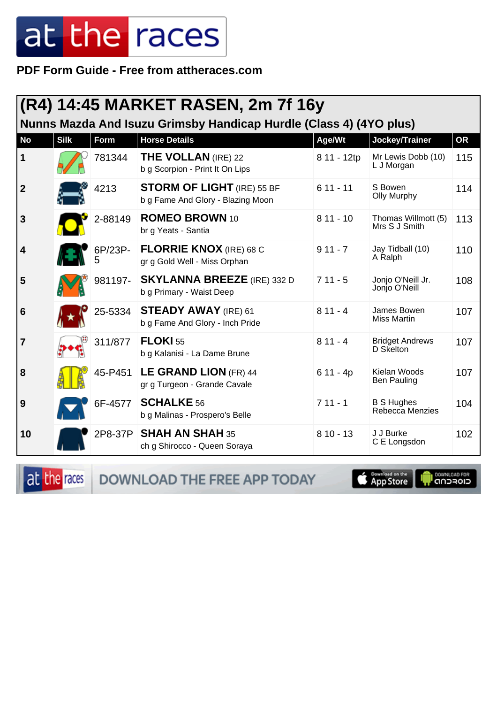PDF Form Guide - Free from attheraces.com

|                  |             |              | (R4) 14:45 MARKET RASEN, 2m 7f 16y                                     |             |                                      |           |
|------------------|-------------|--------------|------------------------------------------------------------------------|-------------|--------------------------------------|-----------|
|                  |             |              | Nunns Mazda And Isuzu Grimsby Handicap Hurdle (Class 4) (4YO plus)     |             |                                      |           |
| <b>No</b>        | <b>Silk</b> | Form         | <b>Horse Details</b>                                                   | Age/Wt      | <b>Jockey/Trainer</b>                | <b>OR</b> |
| 1                |             | 781344       | <b>THE VOLLAN</b> (IRE) 22<br>b g Scorpion - Print It On Lips          | 8 11 - 12tp | Mr Lewis Dobb (10)<br>L J Morgan     | 115       |
| $\boldsymbol{2}$ |             | 4213         | <b>STORM OF LIGHT</b> (IRE) 55 BF<br>b g Fame And Glory - Blazing Moon | $611 - 11$  | S Bowen<br><b>Olly Murphy</b>        | 114       |
| 3                |             | 2-88149      | <b>ROMEO BROWN 10</b><br>br g Yeats - Santia                           | $811 - 10$  | Thomas Willmott (5)<br>Mrs S J Smith | 113       |
| 4                |             | 6P/23P-<br>5 | <b>FLORRIE KNOX</b> (IRE) 68 C<br>gr g Gold Well - Miss Orphan         | $911 - 7$   | Jay Tidball (10)<br>A Ralph          | 110       |
| 5                |             | 981197-      | <b>SKYLANNA BREEZE</b> (IRE) 332 D<br>b g Primary - Waist Deep         | $711 - 5$   | Jonjo O'Neill Jr.<br>Jonjo O'Neill   | 108       |
| 6                |             | 25-5334      | <b>STEADY AWAY</b> (IRE) 61<br>b g Fame And Glory - Inch Pride         | $811 - 4$   | James Bowen<br>Miss Martin           | 107       |
| 7                |             | 311/877      | <b>FLOKI 55</b><br>b g Kalanisi - La Dame Brune                        | $811 - 4$   | <b>Bridget Andrews</b><br>D Skelton  | 107       |
| 8                |             | 45-P451      | LE GRAND LION (FR) 44<br>gr g Turgeon - Grande Cavale                  | $611 - 4p$  | Kielan Woods<br>Ben Pauling          | 107       |
| 9                |             | 6F-4577      | <b>SCHALKE</b> 56<br>b g Malinas - Prospero's Belle                    | $711 - 1$   | <b>B S Hughes</b><br>Rebecca Menzies | 104       |
| 10               |             |              | 2P8-37P   SHAH AN SHAH 35<br>ch g Shirocco - Queen Soraya              | $810 - 13$  | J J Burke<br>C E Longsdon            | 102       |

at the races DOWNLOAD THE FREE APP TODAY

App Store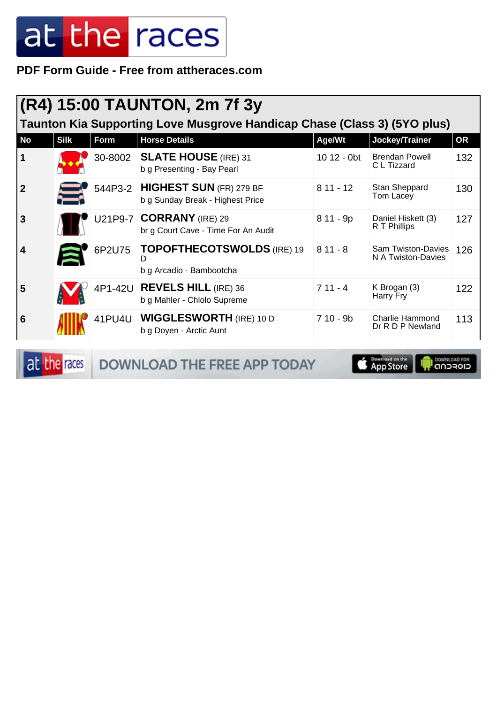**PDF Form Guide - Free from attheraces.com**

|                |                                                                          |        | (R4) 15:00 TAUNTON, 2m 7f 3y                                        |             |                                                 |     |  |  |  |
|----------------|--------------------------------------------------------------------------|--------|---------------------------------------------------------------------|-------------|-------------------------------------------------|-----|--|--|--|
|                | Taunton Kia Supporting Love Musgrove Handicap Chase (Class 3) (5YO plus) |        |                                                                     |             |                                                 |     |  |  |  |
| <b>No</b>      | <b>Silk</b>                                                              | Form   | <b>Horse Details</b>                                                | Age/Wt      | Jockey/Trainer                                  | OR  |  |  |  |
| $\mathbf 1$    |                                                                          |        | 30-8002 SLATE HOUSE (IRE) 31<br>b g Presenting - Bay Pearl          | 10 12 - 0bt | <b>Brendan Powell</b><br>C L Tizzard            | 132 |  |  |  |
| $\overline{2}$ |                                                                          |        | 544P3-2 HIGHEST SUN (FR) 279 BF<br>b g Sunday Break - Highest Price | $811 - 12$  | Stan Sheppard<br>Tom Lacey                      | 130 |  |  |  |
| 3              |                                                                          |        | U21P9-7 CORRANY (IRE) 29<br>br g Court Cave - Time For An Audit     | 8 11 - 9p   | Daniel Hiskett (3)<br>R T Phillips              | 127 |  |  |  |
| 4              |                                                                          | 6P2U75 | TOPOFTHECOTSWOLDS (IRE) 19<br>D<br>b g Arcadio - Bambootcha         | $811 - 8$   | <b>Sam Twiston-Davies</b><br>N A Twiston-Davies | 126 |  |  |  |
| 5              |                                                                          |        | 4P1-42U REVELS HILL (IRE) 36<br>b g Mahler - Chlolo Supreme         | $711 - 4$   | K Brogan (3)<br>Harry Fry                       | 122 |  |  |  |
| 6              |                                                                          | 41PU4U | <b>WIGGLESWORTH (IRE) 10 D</b><br>b g Doyen - Arctic Aunt           | $710 - 9b$  | <b>Charlie Hammond</b><br>Dr R D P Newland      | 113 |  |  |  |

at the races DOWNLOAD THE FREE APP TODAY

Download on the **I DOWNLOAD FOR**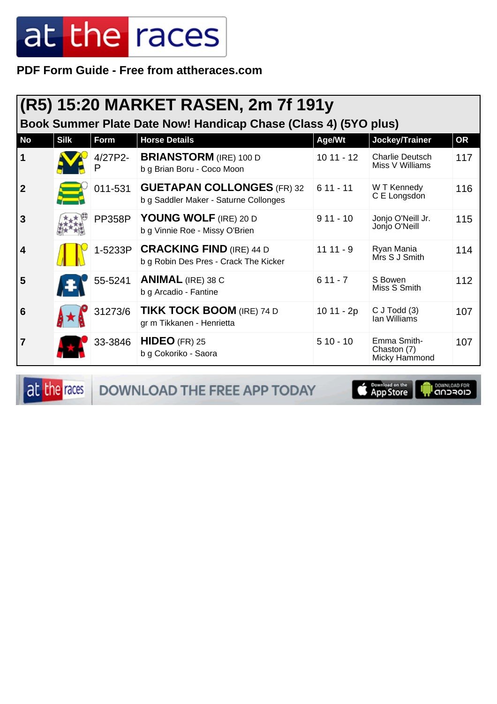**PDF Form Guide - Free from attheraces.com**

|                         |                                                                 |               | (R5) 15:20 MARKET RASEN, 2m 7f 191y                                              |             |                                             |     |  |  |  |
|-------------------------|-----------------------------------------------------------------|---------------|----------------------------------------------------------------------------------|-------------|---------------------------------------------|-----|--|--|--|
|                         | Book Summer Plate Date Now! Handicap Chase (Class 4) (5YO plus) |               |                                                                                  |             |                                             |     |  |  |  |
| <b>No</b>               | <b>Silk</b>                                                     | Form          | <b>Horse Details</b>                                                             | Age/Wt      | Jockey/Trainer                              | OR  |  |  |  |
| $\mathbf 1$             |                                                                 | 4/27P2-<br>P  | <b>BRIANSTORM</b> (IRE) 100 D<br>b g Brian Boru - Coco Moon                      | $1011 - 12$ | <b>Charlie Deutsch</b><br>Miss V Williams   | 117 |  |  |  |
| $\boldsymbol{2}$        |                                                                 | 011-531       | <b>GUETAPAN COLLONGES (FR) 32</b><br>b g Saddler Maker - Saturne Collonges       | $611 - 11$  | W T Kennedy<br>C E Longsdon                 | 116 |  |  |  |
| 3                       |                                                                 | <b>PP358P</b> | YOUNG WOLF (IRE) 20 D<br>b g Vinnie Roe - Missy O'Brien                          | $911 - 10$  | Jonjo O'Neill Jr.<br>Jonjo O'Neill          | 115 |  |  |  |
| $\overline{\mathbf{4}}$ |                                                                 |               | 1-5233P <b>CRACKING FIND</b> (IRE) 44 D<br>b g Robin Des Pres - Crack The Kicker | $1111 - 9$  | Ryan Mania<br>Mrs S J Smith                 | 114 |  |  |  |
| 5                       |                                                                 | 55-5241       | <b>ANIMAL</b> (IRE) 38 C<br>b g Arcadio - Fantine                                | $611 - 7$   | S Bowen<br>Miss S Smith                     | 112 |  |  |  |
| 6                       |                                                                 | 31273/6       | <b>TIKK TOCK BOOM (IRE) 74 D</b><br>gr m Tikkanen - Henrietta                    | 10 11 - 2p  | $C$ J Todd $(3)$<br>Ian Williams            | 107 |  |  |  |
| $\overline{7}$          |                                                                 | 33-3846       | $HIDEO$ (FR) 25<br>b g Cokoriko - Saora                                          | $510 - 10$  | Emma Smith-<br>Chaston (7)<br>Micky Hammond | 107 |  |  |  |

at the races DOWNLOAD THE FREE APP TODAY

App Store **I** DOWNLOAD FOR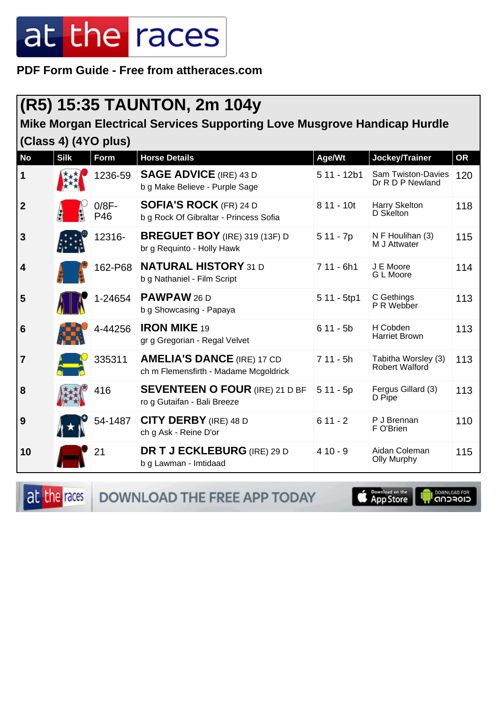**PDF Form Guide - Free from attheraces.com**

#### **(R5) 15:35 TAUNTON, 2m 104y**

#### **Mike Morgan Electrical Services Supporting Love Musgrove Handicap Hurdle (Class 4) (4YO plus)**

| <b>No</b>               | <b>Silk</b> | Form            | <b>Horse Details</b>                                                       | Age/Wt       | Jockey/Trainer                                | OR  |
|-------------------------|-------------|-----------------|----------------------------------------------------------------------------|--------------|-----------------------------------------------|-----|
| $\mathbf 1$             |             | 1236-59         | <b>SAGE ADVICE (IRE) 43 D</b><br>b g Make Believe - Purple Sage            | $511 - 12b1$ | <b>Sam Twiston-Davies</b><br>Dr R D P Newland | 120 |
| $\overline{2}$          |             | $0/8F -$<br>P46 | <b>SOFIA'S ROCK</b> (FR) 24 D<br>b g Rock Of Gibraltar - Princess Sofia    | 8 11 - 10t   | Harry Skelton<br>D Skelton                    | 118 |
| $\mathbf{3}$            |             | 12316-          | <b>BREGUET BOY</b> (IRE) 319 (13F) D<br>br g Requinto - Holly Hawk         | $511 - 7p$   | N F Houlihan (3)<br>M J Attwater              | 115 |
| $\overline{\mathbf{4}}$ |             | 162-P68         | <b>NATURAL HISTORY 31 D</b><br>b g Nathaniel - Film Script                 | $711 - 6h1$  | J E Moore<br>G L Moore                        | 114 |
| 5                       |             | 1-24654         | <b>PAWPAW 26 D</b><br>b g Showcasing - Papaya                              | $511 - 5tp1$ | C Gethings<br>P R Webber                      | 113 |
| $6\phantom{1}6$         |             | 4-44256         | <b>IRON MIKE 19</b><br>gr g Gregorian - Regal Velvet                       | $611 - 5b$   | H Cobden<br><b>Harriet Brown</b>              | 113 |
| $\overline{7}$          |             | 335311          | <b>AMELIA'S DANCE (IRE) 17 CD</b><br>ch m Flemensfirth - Madame Mcgoldrick | $711 - 5h$   | Tabitha Worsley (3)<br>Robert Walford         | 113 |
| 8                       |             | 416             | <b>SEVENTEEN O FOUR (IRE) 21 D BF</b><br>ro g Gutaifan - Bali Breeze       | $511 - 5p$   | Fergus Gillard (3)<br>D Pipe                  | 113 |
| 9                       |             | 54-1487         | <b>CITY DERBY</b> (IRE) 48 D<br>ch g Ask - Reine D'or                      | $611 - 2$    | P J Brennan<br>F O'Brien                      | 110 |
| 10                      |             | 21              | <b>DR T J ECKLEBURG</b> (IRE) 29 D<br>b g Lawman - Imtidaad                | $410 - 9$    | Aidan Coleman<br><b>Olly Murphy</b>           | 115 |

at the races

DOWNLOAD THE FREE APP TODAY

App Store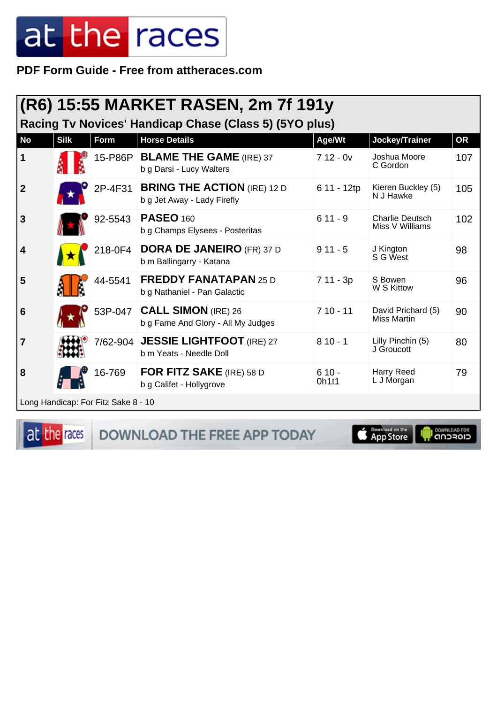PDF Form Guide - Free from attheraces.com

|                  | (R6) 15:55 MARKET RASEN, 2m 7f 191y<br>Racing Tv Novices' Handicap Chase (Class 5) (5YO plus) |                                     |                                                                     |                  |                                           |           |  |  |
|------------------|-----------------------------------------------------------------------------------------------|-------------------------------------|---------------------------------------------------------------------|------------------|-------------------------------------------|-----------|--|--|
| <b>No</b>        | <b>Silk</b>                                                                                   | <b>Form</b>                         | <b>Horse Details</b>                                                | Age/Wt           | Jockey/Trainer                            | <b>OR</b> |  |  |
| $\mathbf 1$      |                                                                                               | 15-P86P                             | <b>BLAME THE GAME (IRE) 37</b><br>b g Darsi - Lucy Walters          | $712 - 0v$       | Joshua Moore<br>C Gordon                  | 107       |  |  |
| $\boldsymbol{2}$ |                                                                                               | 2P-4F31                             | <b>BRING THE ACTION (IRE) 12 D</b><br>b g Jet Away - Lady Firefly   | 6 11 - 12tp      | Kieren Buckley (5)<br>N J Hawke           | 105       |  |  |
| 3                |                                                                                               | 92-5543                             | <b>PASEO 160</b><br>b g Champs Elysees - Posteritas                 | $611 - 9$        | <b>Charlie Deutsch</b><br>Miss V Williams | 102       |  |  |
| 4                |                                                                                               | 218-0F4                             | <b>DORA DE JANEIRO (FR) 37 D</b><br>b m Ballingarry - Katana        | $911 - 5$        | J Kington<br>S G West                     | 98        |  |  |
| 5                |                                                                                               | 44-5541                             | <b>FREDDY FANATAPAN 25 D</b><br>b g Nathaniel - Pan Galactic        | 7 11 - 3p        | S Bowen<br>W S Kittow                     | 96        |  |  |
| 6                |                                                                                               |                                     | 53P-047   CALL SIMON (IRE) 26<br>b g Fame And Glory - All My Judges | $710 - 11$       | David Prichard (5)<br><b>Miss Martin</b>  | 90        |  |  |
| $\overline{7}$   |                                                                                               | 7/62-904                            | <b>JESSIE LIGHTFOOT</b> (IRE) 27<br>b m Yeats - Needle Doll         | $810 - 1$        | Lilly Pinchin (5)<br>J Groucott           | 80        |  |  |
| 8                |                                                                                               | 16-769                              | <b>FOR FITZ SAKE</b> (IRE) 58 D<br>b g Califet - Hollygrove         | $610 -$<br>0h1t1 | Harry Reed<br>L J Morgan                  | 79        |  |  |
|                  |                                                                                               | Long Handicap: For Fitz Sake 8 - 10 |                                                                     |                  |                                           |           |  |  |

at the races

DOWNLOAD THE FREE APP TODAY

**E** Download on the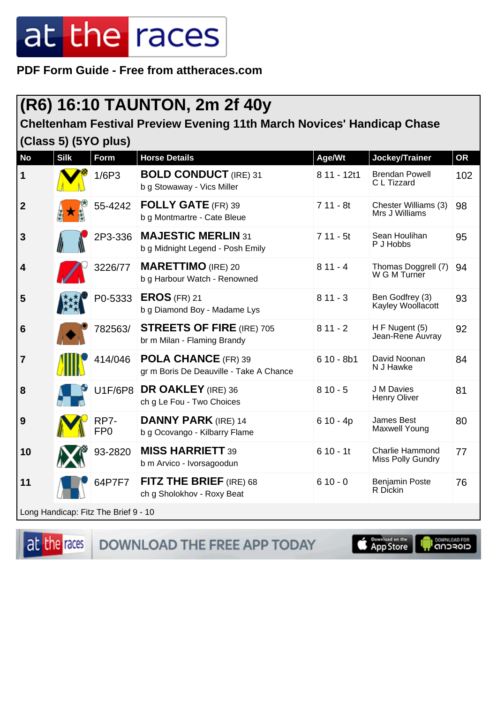**PDF Form Guide - Free from attheraces.com**

### **(R6) 16:10 TAUNTON, 2m 2f 40y**

#### **Cheltenham Festival Preview Evening 11th March Novices' Handicap Chase (Class 5) (5YO plus)**

| <b>No</b>       | <b>Silk</b> | <b>Form</b>                          | <b>Horse Details</b>                                                  | Age/Wt      | Jockey/Trainer                              | <b>OR</b> |
|-----------------|-------------|--------------------------------------|-----------------------------------------------------------------------|-------------|---------------------------------------------|-----------|
| $\mathbf 1$     |             | 1/6P3                                | <b>BOLD CONDUCT (IRE) 31</b><br>b g Stowaway - Vics Miller            | 8 11 - 12t1 | <b>Brendan Powell</b><br>C L Tizzard        | 102       |
| $\overline{2}$  |             | 55-4242                              | <b>FOLLY GATE</b> (FR) 39<br>b g Montmartre - Cate Bleue              | $711 - 8t$  | Chester Williams (3)<br>Mrs J Williams      | 98        |
| 3               |             | 2P3-336                              | <b>MAJESTIC MERLIN 31</b><br>b g Midnight Legend - Posh Emily         | $711 - 5t$  | Sean Houlihan<br>P J Hobbs                  | 95        |
| 4               |             | 3226/77                              | <b>MARETTIMO</b> (IRE) 20<br>b g Harbour Watch - Renowned             | $811 - 4$   | Thomas Doggrell (7)<br>W G M Turner         | 94        |
| 5               |             | P0-5333                              | $EROS$ (FR) 21<br>b g Diamond Boy - Madame Lys                        | $811 - 3$   | Ben Godfrey (3)<br>Kayley Woollacott        | 93        |
| $6\phantom{1}6$ |             | 782563/                              | <b>STREETS OF FIRE (IRE) 705</b><br>br m Milan - Flaming Brandy       | $811 - 2$   | H F Nugent (5)<br>Jean-Rene Auvray          | 92        |
| $\overline{7}$  |             | 414/046                              | <b>POLA CHANCE (FR) 39</b><br>gr m Boris De Deauville - Take A Chance | $610 - 8b1$ | David Noonan<br>N J Hawke                   | 84        |
| 8               |             | <b>U1F/6P8</b>                       | <b>DR OAKLEY</b> (IRE) 36<br>ch g Le Fou - Two Choices                | $810 - 5$   | J M Davies<br>Henry Oliver                  | 81        |
| 9               |             | RP7-<br>FP <sub>0</sub>              | <b>DANNY PARK (IRE) 14</b><br>b g Ocovango - Kilbarry Flame           | $610 - 4p$  | James Best<br>Maxwell Young                 | 80        |
| 10              |             | 93-2820                              | <b>MISS HARRIETT 39</b><br>b m Arvico - Ivorsagoodun                  | $610 - 11$  | <b>Charlie Hammond</b><br>Miss Polly Gundry | 77        |
| 11              |             | 64P7F7                               | FITZ THE BRIEF (IRE) 68<br>ch g Sholokhov - Roxy Beat                 | $610 - 0$   | <b>Benjamin Poste</b><br>R Dickin           | 76        |
|                 |             | Long Handicap: Fitz The Brief 9 - 10 |                                                                       |             |                                             |           |

at the races

DOWNLOAD THE FREE APP TODAY

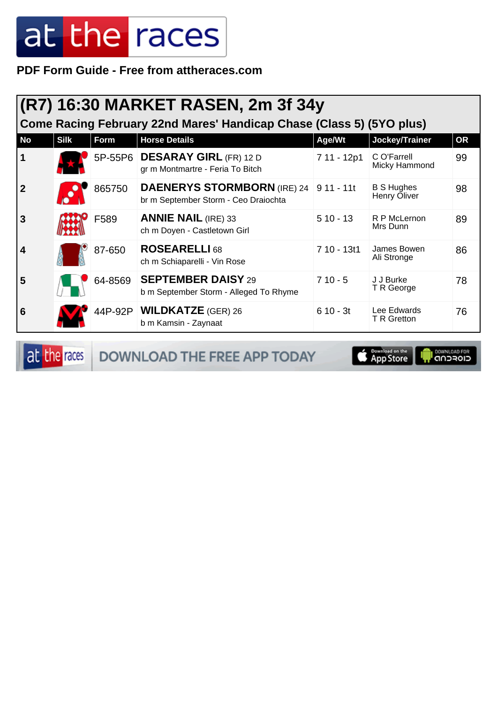**PDF Form Guide - Free from attheraces.com**

| (R7) 16:30 MARKET RASEN, 2m 3f 34y<br>Come Racing February 22nd Mares' Handicap Chase (Class 5) (5YO plus) |             |         |                                                                                       |             |                                   |           |  |
|------------------------------------------------------------------------------------------------------------|-------------|---------|---------------------------------------------------------------------------------------|-------------|-----------------------------------|-----------|--|
| <b>No</b>                                                                                                  | <b>Silk</b> | Form    | <b>Horse Details</b>                                                                  | Age/Wt      | Jockey/Trainer                    | <b>OR</b> |  |
| 1                                                                                                          |             |         | 5P-55P6 DESARAY GIRL (FR) 12 D<br>gr m Montmartre - Feria To Bitch                    | 7 11 - 12p1 | C O'Farrell<br>Micky Hammond      | 99        |  |
| $\overline{2}$                                                                                             |             | 865750  | <b>DAENERYS STORMBORN</b> (IRE) 24 9 11 - 11t<br>br m September Storm - Ceo Draiochta |             | <b>B S Hughes</b><br>Henry Oliver | 98        |  |
| 3                                                                                                          |             | F589    | <b>ANNIE NAIL (IRE) 33</b><br>ch m Doyen - Castletown Girl                            | $510 - 13$  | R P McLernon<br>Mrs Dunn          | 89        |  |
| 4                                                                                                          |             | 87-650  | <b>ROSEARELLI</b> 68<br>ch m Schiaparelli - Vin Rose                                  | 7 10 - 13t1 | James Bowen<br>Ali Stronge        | 86        |  |
| 5                                                                                                          |             | 64-8569 | <b>SEPTEMBER DAISY 29</b><br>b m September Storm - Alleged To Rhyme                   | $710 - 5$   | J J Burke<br>T R George           | 78        |  |
| 6                                                                                                          |             |         | 44P-92P   WILDKATZE (GER) 26<br>b m Kamsin - Zaynaat                                  | $610 - 3t$  | Lee Edwards<br>T R Gretton        | 76        |  |

at the races DOWNLOAD THE FREE APP TODAY

App Store **OWNLOAD FOR**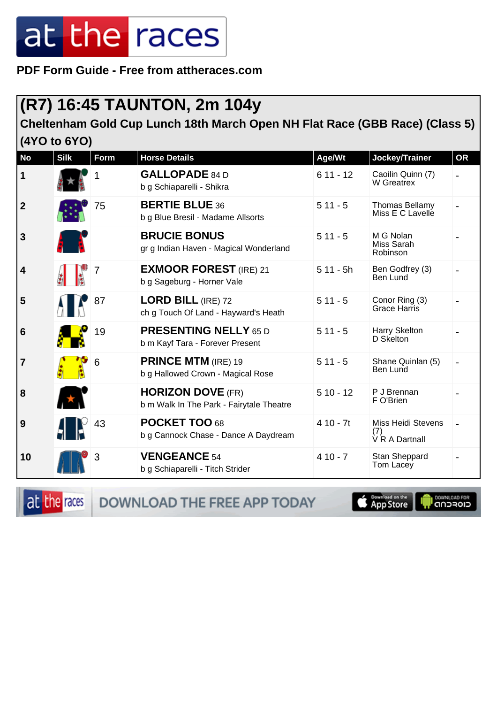**PDF Form Guide - Free from attheraces.com**

#### **(R7) 16:45 TAUNTON, 2m 104y**

**Cheltenham Gold Cup Lunch 18th March Open NH Flat Race (GBB Race) (Class 5) (4YO to 6YO)**

| <b>No</b>        | <b>Silk</b> | Form | <b>Horse Details</b>                                                 | Age/Wt     | Jockey/Trainer                                     | <b>OR</b> |
|------------------|-------------|------|----------------------------------------------------------------------|------------|----------------------------------------------------|-----------|
| 1                |             |      | <b>GALLOPADE 84 D</b><br>b g Schiaparelli - Shikra                   | $611 - 12$ | Caoilin Quinn (7)<br>W Greatrex                    |           |
| $\boldsymbol{2}$ |             | 75   | <b>BERTIE BLUE 36</b><br>b g Blue Bresil - Madame Allsorts           | $511 - 5$  | Thomas Bellamy<br>Miss E C Lavelle                 |           |
| 3                |             |      | <b>BRUCIE BONUS</b><br>gr g Indian Haven - Magical Wonderland        | $511 - 5$  | M G Nolan<br>Miss Sarah<br>Robinson                |           |
| 4                |             |      | <b>EXMOOR FOREST (IRE) 21</b><br>b g Sageburg - Horner Vale          | $511 - 5h$ | Ben Godfrey (3)<br>Ben Lund                        |           |
| 5                |             | 87   | <b>LORD BILL (IRE) 72</b><br>ch g Touch Of Land - Hayward's Heath    | $511 - 5$  | Conor Ring (3)<br>Grace Harris                     |           |
| 6                |             | 19   | <b>PRESENTING NELLY 65 D</b><br>b m Kayf Tara - Forever Present      | $511 - 5$  | Harry Skelton<br>D Skelton                         |           |
| $\overline{7}$   |             | 6    | <b>PRINCE MTM (IRE) 19</b><br>b g Hallowed Crown - Magical Rose      | $511 - 5$  | Shane Quinlan (5)<br><b>Ben Lund</b>               |           |
| 8                |             |      | <b>HORIZON DOVE (FR)</b><br>b m Walk In The Park - Fairytale Theatre | $510 - 12$ | P J Brennan<br>F O'Brien                           |           |
| 9                |             | 43   | POCKET TOO 68<br>b g Cannock Chase - Dance A Daydream                | $410 - 7t$ | <b>Miss Heidi Stevens</b><br>(7)<br>V R A Dartnall |           |
| 10               |             | 3    | <b>VENGEANCE 54</b><br>b g Schiaparelli - Titch Strider              | $410 - 7$  | Stan Sheppard<br>Tom Lacey                         |           |

at the races

DOWNLOAD THE FREE APP TODAY

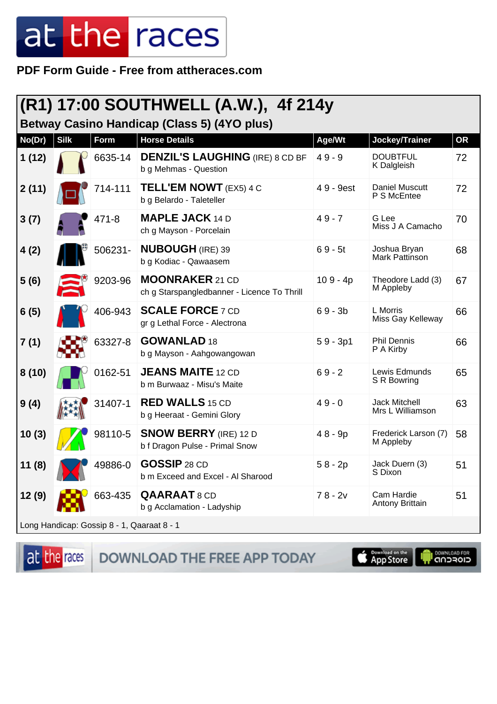**PDF Form Guide - Free from attheraces.com**

| (R1) 17:00 SOUTHWELL (A.W.), 4f 214y |             |           |                                                                            |            |                                          |           |  |
|--------------------------------------|-------------|-----------|----------------------------------------------------------------------------|------------|------------------------------------------|-----------|--|
| No(Dr)                               | <b>Silk</b> | Form      | <b>Betway Casino Handicap (Class 5) (4YO plus)</b><br><b>Horse Details</b> | Age/Wt     | Jockey/Trainer                           | <b>OR</b> |  |
| 1(12)                                |             | 6635-14   | <b>DENZIL'S LAUGHING (IRE) 8 CD BF</b><br>b g Mehmas - Question            | $49 - 9$   | <b>DOUBTFUL</b><br>K Dalgleish           | 72        |  |
| 2(11)                                |             | 714-111   | <b>TELL'EM NOWT</b> (EX5) 4 C<br>b g Belardo - Taleteller                  | 49 - 9est  | Daniel Muscutt<br>P S McEntee            | 72        |  |
| 3(7)                                 |             | $471 - 8$ | <b>MAPLE JACK 14 D</b><br>ch g Mayson - Porcelain                          | $49 - 7$   | G Lee<br>Miss J A Camacho                | 70        |  |
| 4(2)                                 |             | 506231-   | <b>NUBOUGH (IRE) 39</b><br>b g Kodiac - Qawaasem                           | $69 - 5t$  | Joshua Bryan<br><b>Mark Pattinson</b>    | 68        |  |
| 5(6)                                 |             | 9203-96   | <b>MOONRAKER 21 CD</b><br>ch g Starspangledbanner - Licence To Thrill      | $109 - 4p$ | Theodore Ladd (3)<br>M Appleby           | 67        |  |
| 6(5)                                 |             | 406-943   | <b>SCALE FORCE 7 CD</b><br>gr g Lethal Force - Alectrona                   | $69 - 3b$  | L Morris<br>Miss Gay Kelleway            | 66        |  |
| 7(1)                                 |             | 63327-8   | <b>GOWANLAD 18</b><br>b g Mayson - Aahgowangowan                           | $59 - 3p1$ | <b>Phil Dennis</b><br>P A Kirby          | 66        |  |
| 8(10)                                |             | 0162-51   | <b>JEANS MAITE 12 CD</b><br>b m Burwaaz - Misu's Maite                     | $69 - 2$   | Lewis Edmunds<br>S R Bowring             | 65        |  |
| 9(4)                                 |             | 31407-1   | <b>RED WALLS 15 CD</b><br>b g Heeraat - Gemini Glory                       | $49 - 0$   | <b>Jack Mitchell</b><br>Mrs L Williamson | 63        |  |
| 10(3)                                |             | 98110-5   | <b>SNOW BERRY</b> (IRE) 12 D<br>b f Dragon Pulse - Primal Snow             | $48 - 9p$  | Frederick Larson (7)<br>M Appleby        | 58        |  |
| 11(8)                                |             | 49886-0   | <b>GOSSIP 28 CD</b><br>b m Exceed and Excel - Al Sharood                   | $58 - 2p$  | Jack Duern (3)<br>S Dixon                | 51        |  |
| 12(9)                                |             | 663-435   | <b>QAARAAT8CD</b><br>b g Acclamation - Ladyship                            | $78 - 2v$  | Cam Hardie<br>Antony Brittain            | 51        |  |
|                                      |             |           |                                                                            |            |                                          |           |  |

Long Handicap: Gossip 8 - 1, Qaaraat 8 - 1

at the races DOWNLOAD THE FREE APP TODAY **S** Download on the